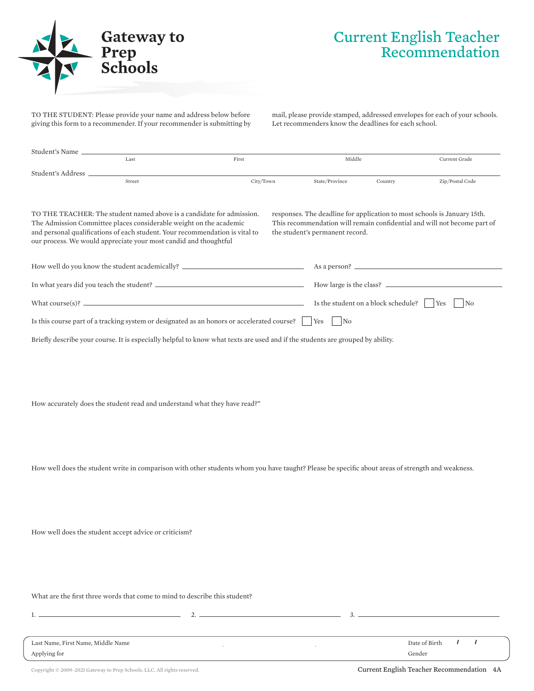

## Current English Teacher Recommendation

TO THE STUDENT: Please provide your name and address below before giving this form to a recommender. If your recommender is submitting by mail, please provide stamped, addressed envelopes for each of your schools. Let recommenders know the deadlines for each school.

| Student's Name                                     |                                                                                                                                                                                                                                                                                                                        |                                                                                                                                                  |                                                  |         |                                                                                                                                                      |  |
|----------------------------------------------------|------------------------------------------------------------------------------------------------------------------------------------------------------------------------------------------------------------------------------------------------------------------------------------------------------------------------|--------------------------------------------------------------------------------------------------------------------------------------------------|--------------------------------------------------|---------|------------------------------------------------------------------------------------------------------------------------------------------------------|--|
|                                                    | Last                                                                                                                                                                                                                                                                                                                   | First                                                                                                                                            | Middle                                           |         | Current Grade                                                                                                                                        |  |
| Student's Address __                               | Street                                                                                                                                                                                                                                                                                                                 | City/Town                                                                                                                                        | State/Province                                   | Country | Zip/Postal Code                                                                                                                                      |  |
|                                                    | TO THE TEACHER: The student named above is a candidate for admission.<br>The Admission Committee places considerable weight on the academic<br>and personal qualifications of each student. Your recommendation is vital to<br>our process. We would appreciate your most candid and thoughtful                        |                                                                                                                                                  | the student's permanent record.                  |         | responses. The deadline for application to most schools is January 15th.<br>This recommendation will remain confidential and will not become part of |  |
|                                                    |                                                                                                                                                                                                                                                                                                                        | How well do you know the student academically? _________________________________                                                                 |                                                  |         |                                                                                                                                                      |  |
|                                                    |                                                                                                                                                                                                                                                                                                                        |                                                                                                                                                  | How large is the class?                          |         |                                                                                                                                                      |  |
|                                                    |                                                                                                                                                                                                                                                                                                                        | What course(s)? $\qquad \qquad$                                                                                                                  | Is the student on a block schedule?<br>Yes<br>No |         |                                                                                                                                                      |  |
|                                                    |                                                                                                                                                                                                                                                                                                                        | Is this course part of a tracking system or designated as an honors or accelerated course?                                                       | Yes<br>No                                        |         |                                                                                                                                                      |  |
|                                                    |                                                                                                                                                                                                                                                                                                                        | Briefly describe your course. It is especially helpful to know what texts are used and if the students are grouped by ability.                   |                                                  |         |                                                                                                                                                      |  |
|                                                    | How accurately does the student read and understand what they have read?"                                                                                                                                                                                                                                              | How well does the student write in comparison with other students whom you have taught? Please be specific about areas of strength and weakness. |                                                  |         |                                                                                                                                                      |  |
|                                                    | How well does the student accept advice or criticism?<br>What are the first three words that come to mind to describe this student?                                                                                                                                                                                    |                                                                                                                                                  |                                                  |         |                                                                                                                                                      |  |
|                                                    |                                                                                                                                                                                                                                                                                                                        |                                                                                                                                                  |                                                  |         |                                                                                                                                                      |  |
|                                                    | $1.$ $\frac{1}{2}$ $\frac{1}{2}$ $\frac{1}{2}$ $\frac{1}{2}$ $\frac{1}{2}$ $\frac{1}{2}$ $\frac{1}{2}$ $\frac{1}{2}$ $\frac{1}{2}$ $\frac{1}{2}$ $\frac{1}{2}$ $\frac{1}{2}$ $\frac{1}{2}$ $\frac{1}{2}$ $\frac{1}{2}$ $\frac{1}{2}$ $\frac{1}{2}$ $\frac{1}{2}$ $\frac{1}{2}$ $\frac{1}{2}$ $\frac{1}{2}$ $\frac{1}{$ | $2.$ $\overline{\phantom{a}}$                                                                                                                    |                                                  |         |                                                                                                                                                      |  |
| Last Name, First Name, Middle Name<br>Applying for |                                                                                                                                                                                                                                                                                                                        |                                                                                                                                                  |                                                  |         | $\prime$<br>$\prime$<br>Date of Birth<br>Gender                                                                                                      |  |